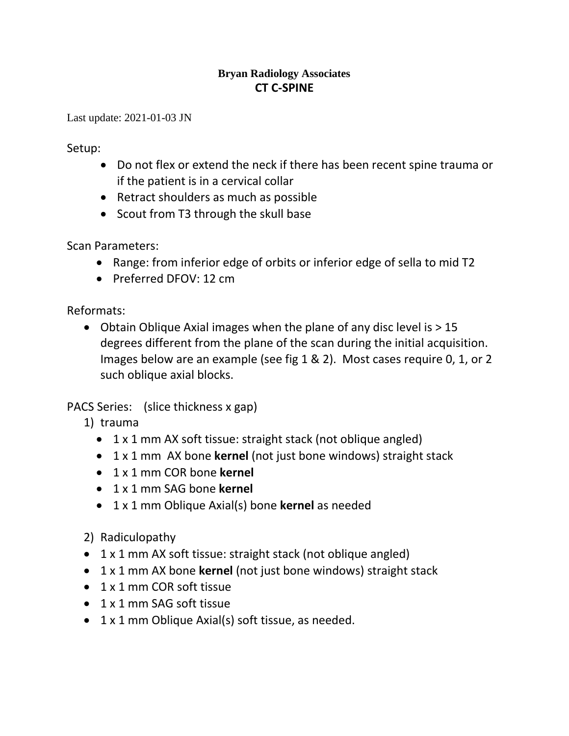## **Bryan Radiology Associates CT C-SPINE**

Last update: 2021-01-03 JN

Setup:

- Do not flex or extend the neck if there has been recent spine trauma or if the patient is in a cervical collar
- Retract shoulders as much as possible
- Scout from T3 through the skull base

Scan Parameters:

- Range: from inferior edge of orbits or inferior edge of sella to mid T2
- Preferred DFOV: 12 cm

Reformats:

• Obtain Oblique Axial images when the plane of any disc level is  $> 15$ degrees different from the plane of the scan during the initial acquisition. Images below are an example (see fig 1 & 2). Most cases require 0, 1, or 2 such oblique axial blocks.

PACS Series: (slice thickness x gap)

- 1) trauma
	- 1 x 1 mm AX soft tissue: straight stack (not oblique angled)
	- 1 x 1 mm AX bone **kernel** (not just bone windows) straight stack
	- 1 x 1 mm COR bone **kernel**
	- 1 x 1 mm SAG bone **kernel**
	- 1 x 1 mm Oblique Axial(s) bone **kernel** as needed
- 2) Radiculopathy
- 1 x 1 mm AX soft tissue: straight stack (not oblique angled)
- 1 x 1 mm AX bone **kernel** (not just bone windows) straight stack
- 1 x 1 mm COR soft tissue
- 1 x 1 mm SAG soft tissue
- 1 x 1 mm Oblique Axial(s) soft tissue, as needed.